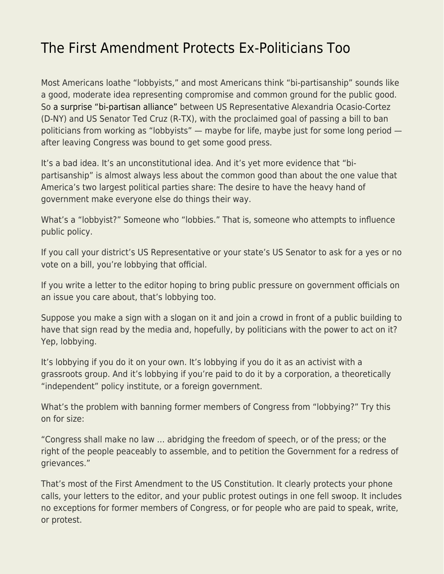## [The First Amendment Protects Ex-Politicians Too](https://everything-voluntary.com/the-first-amendment-protects-ex-politicians-too)

Most Americans loathe "lobbyists," and most Americans think "bi-partisanship" sounds like a good, moderate idea representing compromise and common ground for the public good. So [a surprise "bi-partisan alliance"](https://www.npr.org/2019/05/31/728559903/ted-cruz-and-alexandria-ocasio-cortez-team-up-to-ban-lawmakers-from-lobbying) between US Representative Alexandria Ocasio-Cortez (D-NY) and US Senator Ted Cruz (R-TX), with the proclaimed goal of passing a bill to ban politicians from working as "lobbyists" — maybe for life, maybe just for some long period after leaving Congress was bound to get some good press.

It's a bad idea. It's an unconstitutional idea. And it's yet more evidence that "bipartisanship" is almost always less about the common good than about the one value that America's two largest political parties share: The desire to have the heavy hand of government make everyone else do things their way.

What's a "lobbyist?" Someone who "lobbies." That is, someone who attempts to influence public policy.

If you call your district's US Representative or your state's US Senator to ask for a yes or no vote on a bill, you're lobbying that official.

If you write a letter to the editor hoping to bring public pressure on government officials on an issue you care about, that's lobbying too.

Suppose you make a sign with a slogan on it and join a crowd in front of a public building to have that sign read by the media and, hopefully, by politicians with the power to act on it? Yep, lobbying.

It's lobbying if you do it on your own. It's lobbying if you do it as an activist with a grassroots group. And it's lobbying if you're paid to do it by a corporation, a theoretically "independent" policy institute, or a foreign government.

What's the problem with banning former members of Congress from "lobbying?" Try this on for size:

"Congress shall make no law … abridging the freedom of speech, or of the press; or the right of the people peaceably to assemble, and to petition the Government for a redress of grievances."

That's most of the First Amendment to the US Constitution. It clearly protects your phone calls, your letters to the editor, and your public protest outings in one fell swoop. It includes no exceptions for former members of Congress, or for people who are paid to speak, write, or protest.